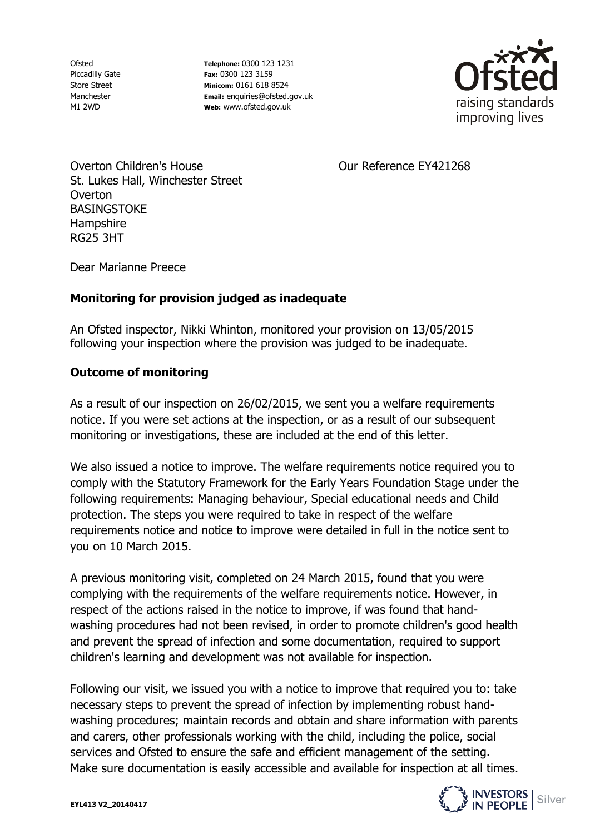Ofsted Piccadilly Gate Store Street Manchester M1 2WD

**Telephone:** 0300 123 1231 **Fax:** 0300 123 3159 **Minicom:** 0161 618 8524 **Email:** enquiries@ofsted.gov.uk **Web:** www.ofsted.gov.uk



Our Reference EY421268

Overton Children's House St. Lukes Hall, Winchester Street Overton **BASINGSTOKE Hampshire** RG25 3HT

Dear Marianne Preece

## **Monitoring for provision judged as inadequate**

An Ofsted inspector, Nikki Whinton, monitored your provision on 13/05/2015 following your inspection where the provision was judged to be inadequate.

## **Outcome of monitoring**

As a result of our inspection on 26/02/2015, we sent you a welfare requirements notice. If you were set actions at the inspection, or as a result of our subsequent monitoring or investigations, these are included at the end of this letter.

We also issued a notice to improve. The welfare requirements notice required you to comply with the Statutory Framework for the Early Years Foundation Stage under the following requirements: Managing behaviour, Special educational needs and Child protection. The steps you were required to take in respect of the welfare requirements notice and notice to improve were detailed in full in the notice sent to you on 10 March 2015.

A previous monitoring visit, completed on 24 March 2015, found that you were complying with the requirements of the welfare requirements notice. However, in respect of the actions raised in the notice to improve, if was found that handwashing procedures had not been revised, in order to promote children's good health and prevent the spread of infection and some documentation, required to support children's learning and development was not available for inspection.

Following our visit, we issued you with a notice to improve that required you to: take necessary steps to prevent the spread of infection by implementing robust handwashing procedures; maintain records and obtain and share information with parents and carers, other professionals working with the child, including the police, social services and Ofsted to ensure the safe and efficient management of the setting. Make sure documentation is easily accessible and available for inspection at all times.

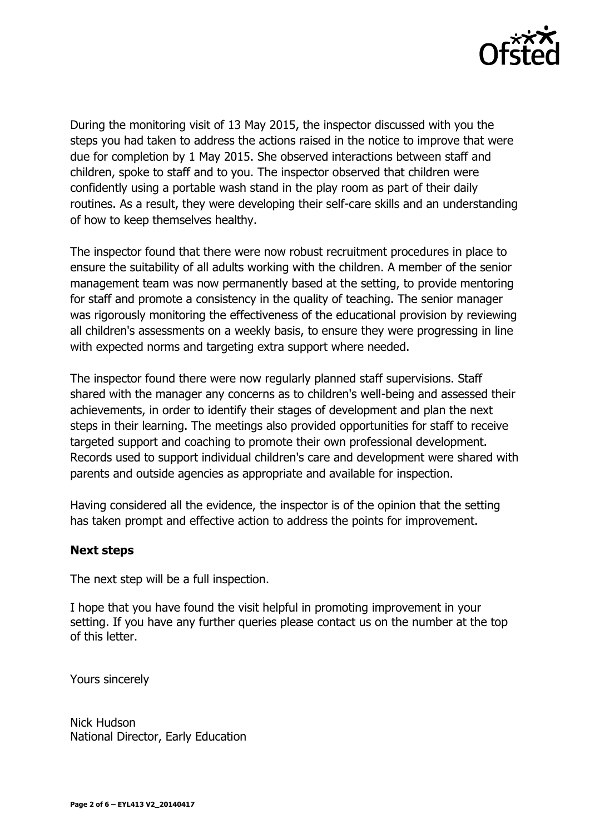

During the monitoring visit of 13 May 2015, the inspector discussed with you the steps you had taken to address the actions raised in the notice to improve that were due for completion by 1 May 2015. She observed interactions between staff and children, spoke to staff and to you. The inspector observed that children were confidently using a portable wash stand in the play room as part of their daily routines. As a result, they were developing their self-care skills and an understanding of how to keep themselves healthy.

The inspector found that there were now robust recruitment procedures in place to ensure the suitability of all adults working with the children. A member of the senior management team was now permanently based at the setting, to provide mentoring for staff and promote a consistency in the quality of teaching. The senior manager was rigorously monitoring the effectiveness of the educational provision by reviewing all children's assessments on a weekly basis, to ensure they were progressing in line with expected norms and targeting extra support where needed.

The inspector found there were now regularly planned staff supervisions. Staff shared with the manager any concerns as to children's well-being and assessed their achievements, in order to identify their stages of development and plan the next steps in their learning. The meetings also provided opportunities for staff to receive targeted support and coaching to promote their own professional development. Records used to support individual children's care and development were shared with parents and outside agencies as appropriate and available for inspection.

Having considered all the evidence, the inspector is of the opinion that the setting has taken prompt and effective action to address the points for improvement.

## **Next steps**

The next step will be a full inspection.

I hope that you have found the visit helpful in promoting improvement in your setting. If you have any further queries please contact us on the number at the top of this letter.

Yours sincerely

Nick Hudson National Director, Early Education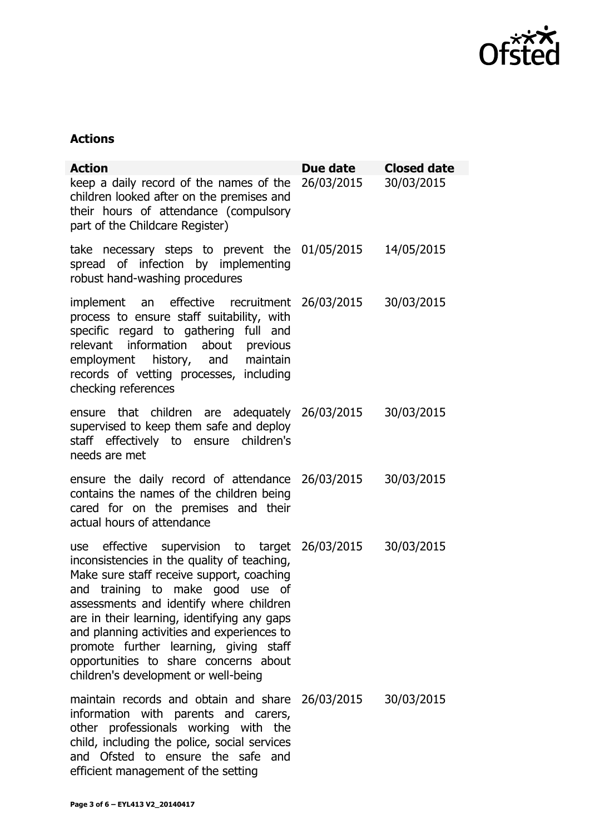

## **Actions**

| <b>Action</b>                                                                                                                                                                                                                                                                                                                                                                                                                                     | Due date   | <b>Closed date</b> |
|---------------------------------------------------------------------------------------------------------------------------------------------------------------------------------------------------------------------------------------------------------------------------------------------------------------------------------------------------------------------------------------------------------------------------------------------------|------------|--------------------|
| keep a daily record of the names of the<br>children looked after on the premises and<br>their hours of attendance (compulsory<br>part of the Childcare Register)                                                                                                                                                                                                                                                                                  | 26/03/2015 | 30/03/2015         |
| take necessary steps to prevent the 01/05/2015<br>spread of infection by implementing<br>robust hand-washing procedures                                                                                                                                                                                                                                                                                                                           |            | 14/05/2015         |
| implement an effective recruitment 26/03/2015<br>process to ensure staff suitability, with<br>specific regard to gathering full and<br>relevant information about previous<br>employment history, and maintain<br>records of vetting processes, including<br>checking references                                                                                                                                                                  |            | 30/03/2015         |
| ensure that children are adequately 26/03/2015<br>supervised to keep them safe and deploy<br>staff effectively to ensure children's<br>needs are met                                                                                                                                                                                                                                                                                              |            | 30/03/2015         |
| ensure the daily record of attendance 26/03/2015<br>contains the names of the children being<br>cared for on the premises and their<br>actual hours of attendance                                                                                                                                                                                                                                                                                 |            | 30/03/2015         |
| use effective supervision to target 26/03/2015<br>inconsistencies in the quality of teaching,<br>Make sure staff receive support, coaching<br>and training to make good use of<br>assessments and identify where children<br>are in their learning, identifying any gaps<br>and planning activities and experiences to<br>promote further learning, giving staff<br>opportunities to share concerns about<br>children's development or well-being |            | 30/03/2015         |
| maintain records and obtain and share<br>information with parents and carers,<br>other professionals working with the<br>child, including the police, social services<br>and Ofsted to ensure the safe<br>and<br>efficient management of the setting                                                                                                                                                                                              | 26/03/2015 | 30/03/2015         |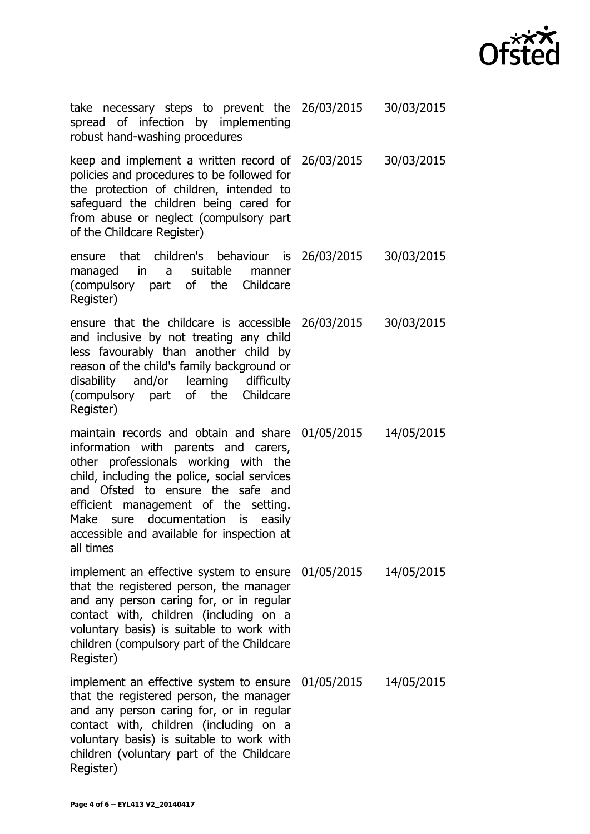

| take necessary steps to prevent the 26/03/2015 30/03/2015<br>spread of infection by implementing<br>robust hand-washing procedures                                                                                                                                                                                                                            |            |
|---------------------------------------------------------------------------------------------------------------------------------------------------------------------------------------------------------------------------------------------------------------------------------------------------------------------------------------------------------------|------------|
| keep and implement a written record of 26/03/2015 30/03/2015<br>policies and procedures to be followed for<br>the protection of children, intended to<br>safeguard the children being cared for<br>from abuse or neglect (compulsory part<br>of the Childcare Register)                                                                                       |            |
| ensure that children's behaviour is 26/03/2015 30/03/2015<br>managed in a suitable manner<br>(compulsory part of the Childcare<br>Register)                                                                                                                                                                                                                   |            |
| ensure that the childcare is accessible 26/03/2015 30/03/2015<br>and inclusive by not treating any child<br>less favourably than another child by<br>reason of the child's family background or<br>disability and/or learning difficulty<br>(compulsory part of the Childcare<br>Register)                                                                    |            |
| maintain records and obtain and share 01/05/2015<br>information with parents and carers,<br>other professionals working with the<br>child, including the police, social services<br>and Ofsted to ensure the safe and<br>efficient management of the setting.<br>Make sure documentation is easily<br>accessible and available for inspection at<br>all times | 14/05/2015 |
| implement an effective system to ensure 01/05/2015<br>that the registered person, the manager<br>and any person caring for, or in regular<br>contact with, children (including on a<br>voluntary basis) is suitable to work with<br>children (compulsory part of the Childcare<br>Register)                                                                   | 14/05/2015 |
| implement an effective system to ensure 01/05/2015<br>that the registered person, the manager<br>and any person caring for, or in regular<br>contact with, children (including on a<br>voluntary basis) is suitable to work with<br>children (voluntary part of the Childcare<br>Register)                                                                    | 14/05/2015 |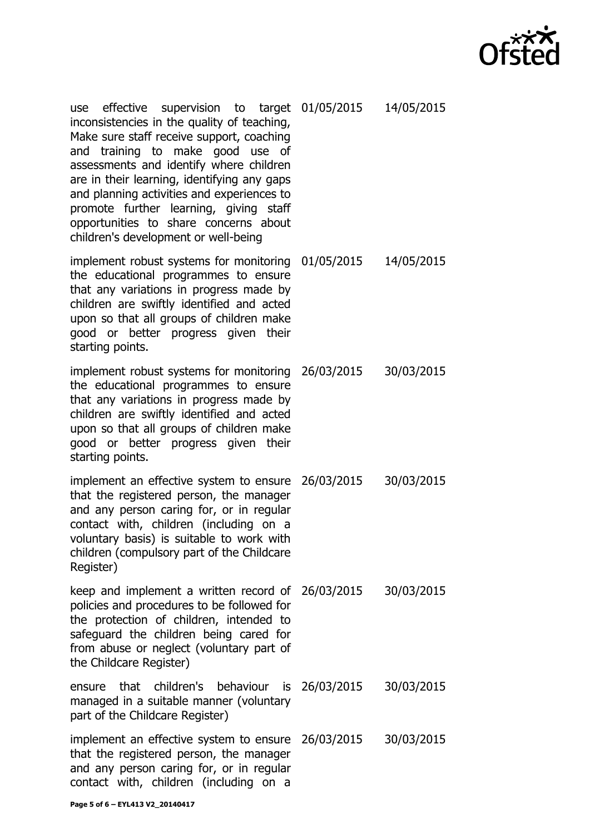| $\star\boldsymbol{\times}\boldsymbol{\mathsf{X}}$ . |  |
|-----------------------------------------------------|--|
| <b>Ofsted</b>                                       |  |

| use effective supervision to target 01/05/2015 14/05/2015<br>inconsistencies in the quality of teaching,<br>Make sure staff receive support, coaching<br>and training to make good use of<br>assessments and identify where children<br>are in their learning, identifying any gaps<br>and planning activities and experiences to<br>promote further learning, giving staff<br>opportunities to share concerns about<br>children's development or well-being |            |
|--------------------------------------------------------------------------------------------------------------------------------------------------------------------------------------------------------------------------------------------------------------------------------------------------------------------------------------------------------------------------------------------------------------------------------------------------------------|------------|
| implement robust systems for monitoring 01/05/2015<br>the educational programmes to ensure<br>that any variations in progress made by<br>children are swiftly identified and acted<br>upon so that all groups of children make<br>good or better progress given their<br>starting points.                                                                                                                                                                    | 14/05/2015 |
| implement robust systems for monitoring 26/03/2015<br>the educational programmes to ensure<br>that any variations in progress made by<br>children are swiftly identified and acted<br>upon so that all groups of children make<br>good or better progress given their<br>starting points.                                                                                                                                                                    | 30/03/2015 |
| implement an effective system to ensure 26/03/2015<br>that the registered person, the manager<br>and any person caring for, or in regular<br>contact with, children (including on a<br>voluntary basis) is suitable to work with<br>children (compulsory part of the Childcare<br>Register)                                                                                                                                                                  | 30/03/2015 |
| keep and implement a written record of 26/03/2015<br>policies and procedures to be followed for<br>the protection of children, intended to<br>safeguard the children being cared for<br>from abuse or neglect (voluntary part of<br>the Childcare Register)                                                                                                                                                                                                  | 30/03/2015 |
| ensure that children's behaviour is 26/03/2015<br>managed in a suitable manner (voluntary<br>part of the Childcare Register)                                                                                                                                                                                                                                                                                                                                 | 30/03/2015 |
| implement an effective system to ensure 26/03/2015<br>that the registered person, the manager<br>and any person caring for, or in regular<br>contact with, children (including on a                                                                                                                                                                                                                                                                          | 30/03/2015 |